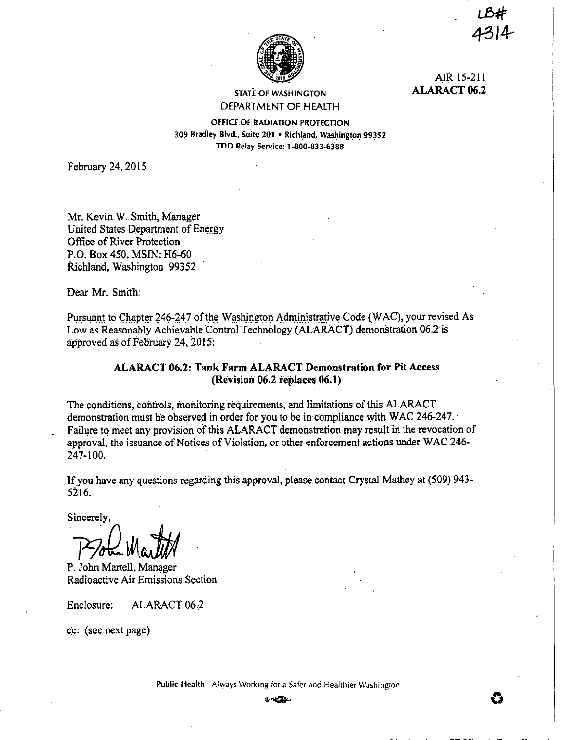

AIR 15-211 **ALARACT 06.2** 

STATE Of WASHINGTON DEPARTMENT OF HEALTH

OfflCE,Of RADIATION PROTECTION 309 Bradley Blvd., Suite 201 • Richland, Washington 99352 TDD Relay Service: 1-800-833-6388

February 24, 2015

Mr. Kevin W. Smith, Manager United States Department of Energy Office of River Protection · P.O. Box 450, MSIN: H6-60 Richland, Washington 99352

Dear Mr. Smith:

Pursuant to Chapter 246-247 of the Washington Administrative Code (WAC), your revised As Low as Reasonably Achievable Control Technology (ALARACT) demonstration 06.2 is approved *as* of February 24, 2015:

# **ALARACT 06.2: Tank Farm ALARACT Demonstration for Pit Access (Revision 06.2 replaces 06.1)**

The conditions, controls, monitoring requirements, and limitations of this ALARACT demonstration must be observed in order for you to be in compliance with WAC 246-247. · Failure to meet any provision of this ALARACT demonstration may result in the revocation of approval, the issuance of Notices of Violation, or other enforcement actions under WAC 246- 247-100.

If you have any questions regarding this approval; please contact Crystal Mathey at (509) 943-5216.

Sincerely,

7 Froh Martit

P. John Martell, Manager Radioactive Air Emissions Section

Enclosure: ALARACT 06.2

cc: (see next page)

Public Health - Always Working for a Safer and Healthier Washington

®•,.., **0**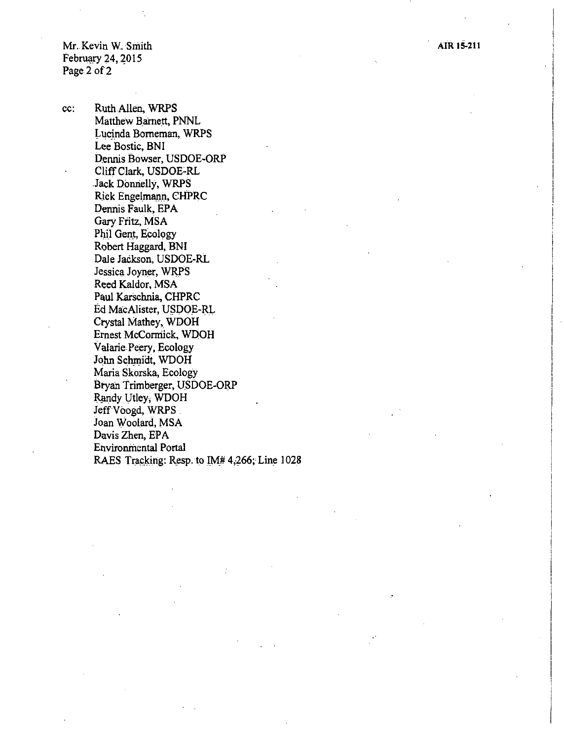Mr. Kevin W. Smith February 24, 2015 Page 2 of 2

cc:

Ruth Allen, WRPS Matthew Barnett, PNNL Lucinda Borneman, WRPS Lee Bostic, BNI Dennis Bowser, USDOE-ORP Cliff Clark, USDOE-RL Jack Donnelly, WRPS Rick Engelmann, CHPRC Dennis Faulk, EPA Gary Fritz, MSA Phil Gent, Ecology Robert Haggard, BNI Dale Jackson, USDOE-RL Jessica Joyner, WRPS Reed Kaldor, MSA Paul Karschnia, CHPRC Ed MacAlister, USDOE-RL Crystal Mathey, WDOH Ernest McCormick, WDOH Valarie Peery, Ecology John Schmidt, WDOH Maria Skorska, Ecology Bryan Trimberger, USDOE-ORP Randy Utley, WDOH Jeff Voogd, WRPS Joan Woolard, MSA Davis Zhen, EPA **Environmental Portal** RAES Tracking: Resp. to IM# 4,266; Line 1028 AIR 15-211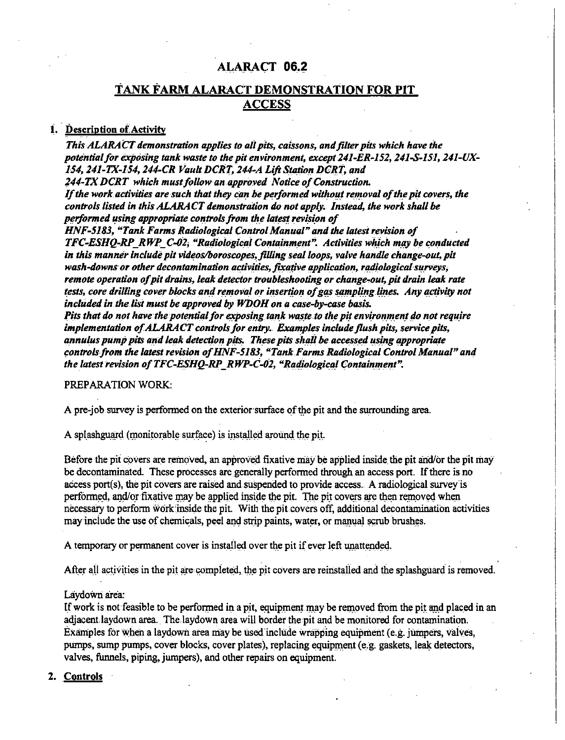# **AI..A\_RA<;:T** *06.i*

# . . **TANK FARM ALARACT DEMONSTRATION FOR PIT ACCESS**

## 1. Description of Activity

*This ALARA CT demonstration applies to all pits, caissons, and filter pits which have the*  potential for exposing tank waste to the pit environment, except 241-ER-152, 241-S-151, 241-UX-154, 241-TX-154, 244-CR Vault DCRT, 244-A Lift Station DCRT, and *244-TX DCRT which must follow an approved Notice of Construction. If the work activities are such that they can be performed without removal of the pit covers, the controls listed in this ALARACT demonstration do not apply. Instead, the work shall be performed using appropriate controls from the latest revision of* HNF-5183, "Tank Farms Radiological Control Manual" and the latest revision of *TFC-ESHQ-RP\_RWP\_ C-02; "Radiological Containm\_ent". Activities wh\_ich m\_ay be conducted in this manner include pit videos/horoscopes, jiUing seal loops, valve handle change-out, pit*  wash-downs or other decontamination activities, fixative application, radiological surveys, *remote operation of pit drains, leak detector troubleshooting or change-out, pit drain leak rate tests, core drilling cover blocks and removal or insertion of gas sampling lines. Any activity not included in.the list must be approved by WDOH on a case-by-case basis. Pits that do not have the potential for exposing tank waste to the pit environment do not require implementation of ALARACT controls for entry. Examples include flush pits, service pits,* annulus pump pits and leak detection pits. These pits shall be accessed using appropriate controls from the latest revision of HNF-5183, "Tank Farms Radiological Control Manual" and *the latest revision of TFC-ESHQ-RP\_RWP-C-02, "Radiological Containment".* 

PREPARATION WORK:

A pre-job survey is performed on the exterior-surface of the pit and the surrounding area.

A splashguard (monitorable surface) is installed around the pit.

Before the pit covers are removed, an approved fixative may be applied inside the pit and/or the pit may be decontaminated. These processes are generally performed through an access port. If there is no access port(s), the pit covers are raised and suspended to provide access. A radiological survey is performed, and/or fixative may be applied inside the pit. The pit covers are then removed when necessary to perfonn wcirkinside the pit. With the pit covers off, additional decontamination activities may include the use of chemicals, peel and strip paints, water, or manual scrub brushes.

A temporary or permanent cover is installed over the pit if ever left unattended.

After all activities in the pit are completed, the pit covers are reinstalled and the splashguard is removed.

### Laydown area:

If work is not feasible to be performed in a pit, equipment may be removed from the pit and placed in an adjacent laydown area. The laydown area will border the pit and be monitored for contamination. Examples for vvhen a laydown area may be used include wrapping equipment (e.g. jumpers, vaives, pumps, sump pumps, cover blocks, cover plates), replacing equipment (e.g. gaskets, leak detectors, valves, funnels, piping, jumpers), and other repairs on equipment.

## **2. Controls**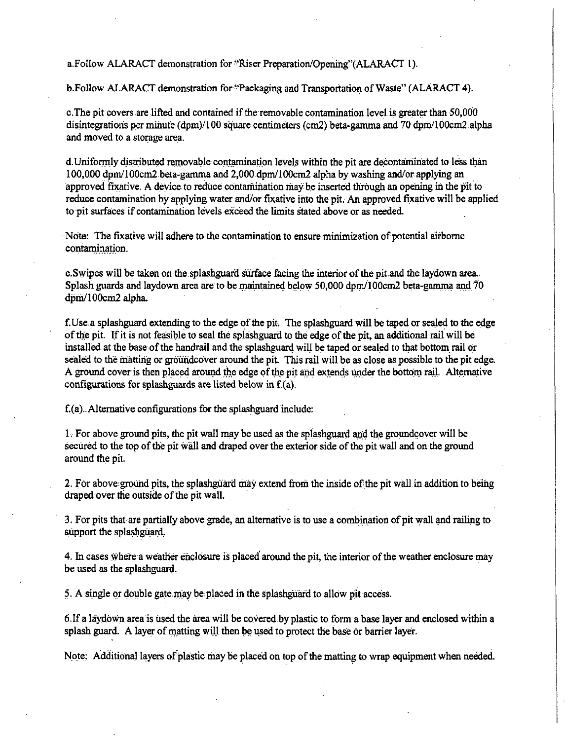a.Follow ALARACT demonstration for ''Riser Preparation/Opening"(ALARACT I).

b.Follow ALARACT demonstration for ''Packaging and Transportation of Waste" (ALARACT 4).

c. The pit covers are lifted and contained if the removable contamination level is greater than 50,000 disintegrations per minute  $(d_{\text{D}}/100)$  square centimeters (cm2) beta-gamma and 70 dpm/l00cm2 alpha and moved to a storage area.<sup>1</sup>

d. Uniformly distributed removable contamination levels within the pit are decontaminated to less than 100,000 dpm/100cm2 beta,garnma and 2,000 dpm/100cm2 alpha by washing and/or applying an approved fixative. A device to reduce contamination may be inserted through an opening in the pit to reduce contamination by applying water and/or fixative into the pit. An approved fixative will be applied to pit surfaces if contamination levels exceed the limits stated above or as needed.

Note: The fixative will adhere to the contamination to ensure minimization of potential airborne contamination.

e. Swipes will be taken on the splashguard surface facing the interior of the pit and the laydown area. Splash guards and laydown area are to be maintained below 50,000 dpm/100cm2 beta-gamma and  $\overline{70}$ dpm/100cm2 alpha.

f.Use a splashguard extending to the edge of the pit. The splashguard will be taped or sealed to the edge of the pit. If it is not feasible to seal the spiashguara to the edge of the pit, an additional rail will be installed at the base of the handrail and the splashguard will be taped or sealed to that bottom rail or sealed to the matting or groundcover around the pit. This rail will be as close as possible to the pit edge. A ground cover is then placed around the edge of the pit and extends under the bottom rail. Alternative configurations for splashguards are listed below in f.(a).

f.(a) .. Alternative configurations for the splashguard include:

 $1.$  For above ground pits, the pit wall may be used as the splashguard and the groundcover will be secured to the top of the pit wall and draped over the exterior side of the pit wall and on the ground around the pit.

2. For above ground pits, the splashguard may extend from the inside of the pit wall in addition to being draped over the outside of the pit wall.

3. For pits that are partially above grade, an alternative is to use a combination of pit wall and railing to support the splashguard.

4. In cases where a weather enclosure is placed around the pit, the interior of the weather enclosure may be used as the splashguard.

5. A single or double gate may be placed in the splashguard to allow pit access.

6. If a laydown area is used the area will be covered by plastic to form a base layer and enclosed within a splash guard. A layer of matting will then be used to protect the base or barrier layer.

Note: Additional layers of plastic may be placed on top of the matting to wrap equipment when needed.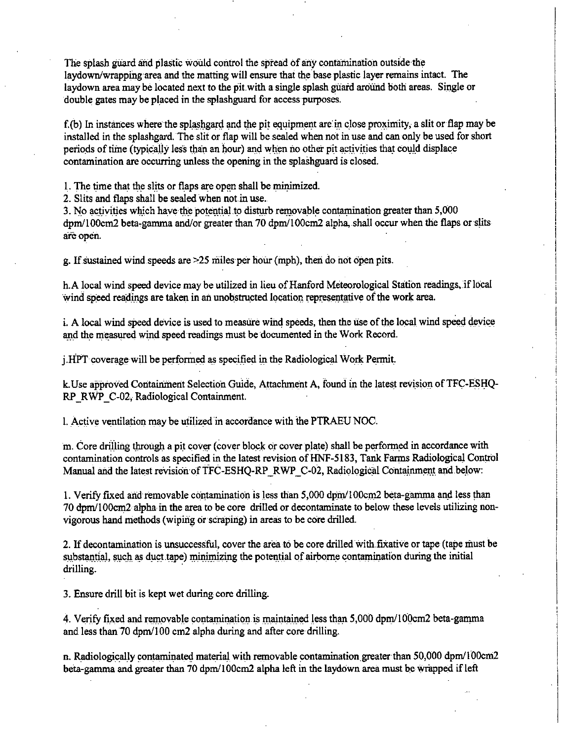The splash giiard and plastic would control the spread of any contamination outside the laydown/wrapping area and the matting will ensure that the base plastic layer remains intact. The laydown area may be located next to the pit with a single splash guard around both areas. Single or double gates may be placed in the splashguard for access purposes.

f.(b) In instances where the splashgard and the pit equipment are in close proximity, a slit or flap may be installed in the splashgard. The slit or flap will be sealed when not in use and can only be used for short periods of time (typically less than an hour) and when no other pit activities that could displace contamination are occurring unless the opening in the splashguard is closed.

1. The time that the slits or flaps are open shall be minimized.

2. Slits and flaps shall be sealed when not.in use.

3. No activities which have the potential to disturb removable contamination greater than 5,000 dpm/100cm2 beta-gamma and/or greater than 70 dpm/100cm2 alpha, shall occur when the flaps or slits are open.

g. If sustained wind speeds are  $\geq$ 25 miles per hour (mph), then do not open pits.

h.A local wind speed device may be utilized in lieu of Hanford Meteorological Station readings, if local wind speed readings are taken in an unobstructed location representative of the work area.

i. A local wind speed device is used to measure wind speeds, then the use of the local wind speed device and the measured wind speed readings must be documented in the Work Record.

j.HPT coverage will be performed as specified in the Radiological Work Permit.

k. Use approved Containment Selection Guide, Attachment A, found in the latest revision of TFC-ESHQ-RP\_RWP\_C-02; Radiological Containment.

1. Active ventilation may be utilized in accordance with the PTRAEU NOC.

m. Core drilling through a pit cover (cover block or cover plate) shall be performed in accordance with contamination controls as specified in the latest revision of HNF-5183, Tank Farms Radiological Control Manual and the latest revision of TFC-ESHO-RP RWP C-02, Radiological Containment and below:

1. Verify fixed and removable contamination is less than 5,000 dpm/100cm2 beta-gamma and less than 70 dpm/100cm2 alpha in the area to be core drilled or decontaminate to below these levels utilizing nonvigorous hand methods (wiping or scraping) in areas to be core drilled.

2. If decontamination is unsuccessful, cover the area to be core drilled with.fixative or tape (tape must be substantial, such as duct tape) minimizing the potential of airborne contamination during the initial drilling.

3. Ensure drill bit is kept wet during core drilling.

4. Verify fixed and removable contamination is maintained less than 5,000 dpm/100cm2 beta-gamma and less than 70 dpm/100 cm2 alpha during and after core drilling.

n. Radiologically contaminated material with removable contamination greater than  $50,000$  dpm/l $00cm2$ beta-gamma and greater than 70 dpm/100cm2 alpha left in the laydown area must be wrapped if left